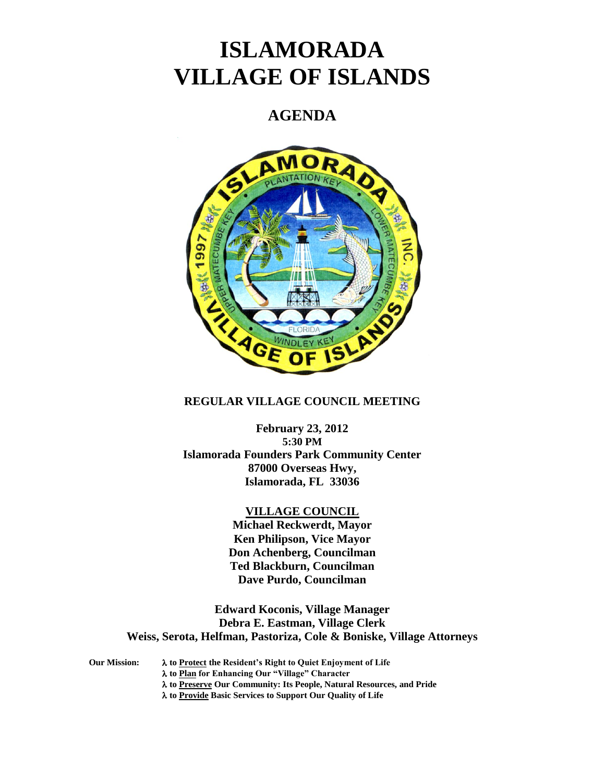# **ISLAMORADA VILLAGE OF ISLANDS**

# **AGENDA**



# **REGULAR VILLAGE COUNCIL MEETING**

**February 23, 2012 5:30 PM Islamorada Founders Park Community Center 87000 Overseas Hwy, Islamorada, FL 33036**

### **VILLAGE COUNCIL**

**Michael Reckwerdt, Mayor Ken Philipson, Vice Mayor Don Achenberg, Councilman Ted Blackburn, Councilman Dave Purdo, Councilman**

**Edward Koconis, Village Manager Debra E. Eastman, Village Clerk Weiss, Serota, Helfman, Pastoriza, Cole & Boniske, Village Attorneys**

**Our Mission: to Protect the Resident's Right to Quiet Enjoyment of Life**

**to Plan for Enhancing Our "Village" Character**

**to Preserve Our Community: Its People, Natural Resources, and Pride**

**to Provide Basic Services to Support Our Quality of Life**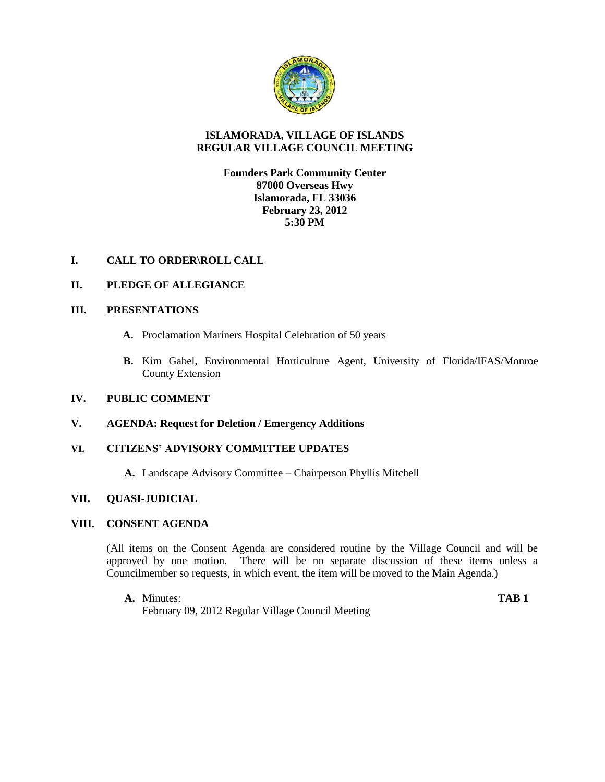

#### **ISLAMORADA, VILLAGE OF ISLANDS REGULAR VILLAGE COUNCIL MEETING**

**Founders Park Community Center 87000 Overseas Hwy Islamorada, FL 33036 February 23, 2012 5:30 PM**

# **I. CALL TO ORDER\ROLL CALL**

# **II. PLEDGE OF ALLEGIANCE**

#### **III. PRESENTATIONS**

- **A.** Proclamation Mariners Hospital Celebration of 50 years
- **B.** Kim Gabel, Environmental Horticulture Agent, University of Florida/IFAS/Monroe County Extension

# **IV. PUBLIC COMMENT**

#### **V. AGENDA: Request for Deletion / Emergency Additions**

#### **VI. CITIZENS' ADVISORY COMMITTEE UPDATES**

**A.** Landscape Advisory Committee – Chairperson Phyllis Mitchell

#### **VII. QUASI-JUDICIAL**

#### **VIII. CONSENT AGENDA**

(All items on the Consent Agenda are considered routine by the Village Council and will be approved by one motion. There will be no separate discussion of these items unless a Councilmember so requests, in which event, the item will be moved to the Main Agenda.)

**A.** Minutes: **TAB 1** February 09, 2012 Regular Village Council Meeting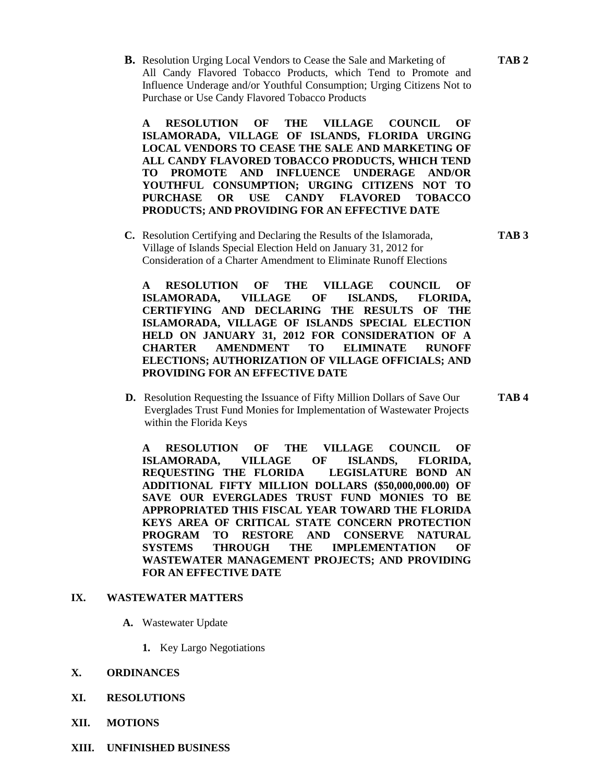**B.** Resolution Urging Local Vendors to Cease the Sale and Marketing of **TAB 2** All Candy Flavored Tobacco Products, which Tend to Promote and Influence Underage and/or Youthful Consumption; Urging Citizens Not to Purchase or Use Candy Flavored Tobacco Products

**A RESOLUTION OF THE VILLAGE COUNCIL OF ISLAMORADA, VILLAGE OF ISLANDS, FLORIDA URGING LOCAL VENDORS TO CEASE THE SALE AND MARKETING OF ALL CANDY FLAVORED TOBACCO PRODUCTS, WHICH TEND TO PROMOTE AND INFLUENCE UNDERAGE AND/OR YOUTHFUL CONSUMPTION; URGING CITIZENS NOT TO PURCHASE OR USE CANDY FLAVORED TOBACCO PRODUCTS; AND PROVIDING FOR AN EFFECTIVE DATE**

**C.** Resolution Certifying and Declaring the Results of the Islamorada, **TAB 3**  Village of Islands Special Election Held on January 31, 2012 for Consideration of a Charter Amendment to Eliminate Runoff Elections

**A RESOLUTION OF THE VILLAGE COUNCIL OF ISLAMORADA, VILLAGE OF ISLANDS, FLORIDA, CERTIFYING AND DECLARING THE RESULTS OF THE ISLAMORADA, VILLAGE OF ISLANDS SPECIAL ELECTION HELD ON JANUARY 31, 2012 FOR CONSIDERATION OF A CHARTER AMENDMENT TO ELIMINATE RUNOFF ELECTIONS; AUTHORIZATION OF VILLAGE OFFICIALS; AND PROVIDING FOR AN EFFECTIVE DATE**

 **D.** Resolution Requesting the Issuance of Fifty Million Dollars of Save Our **TAB 4** Everglades Trust Fund Monies for Implementation of Wastewater Projects within the Florida Keys

**A RESOLUTION OF THE VILLAGE COUNCIL OF ISLAMORADA, VILLAGE OF ISLANDS, FLORIDA, REQUESTING THE FLORIDA LEGISLATURE BOND AN ADDITIONAL FIFTY MILLION DOLLARS (\$50,000,000.00) OF SAVE OUR EVERGLADES TRUST FUND MONIES TO BE APPROPRIATED THIS FISCAL YEAR TOWARD THE FLORIDA KEYS AREA OF CRITICAL STATE CONCERN PROTECTION PROGRAM TO RESTORE AND CONSERVE NATURAL SYSTEMS THROUGH THE IMPLEMENTATION OF WASTEWATER MANAGEMENT PROJECTS; AND PROVIDING FOR AN EFFECTIVE DATE**

#### **IX. WASTEWATER MATTERS**

- **A.** Wastewater Update
	- **1.** Key Largo Negotiations

#### **X. ORDINANCES**

- **XI. RESOLUTIONS**
- **XII. MOTIONS**
- **XIII. UNFINISHED BUSINESS**